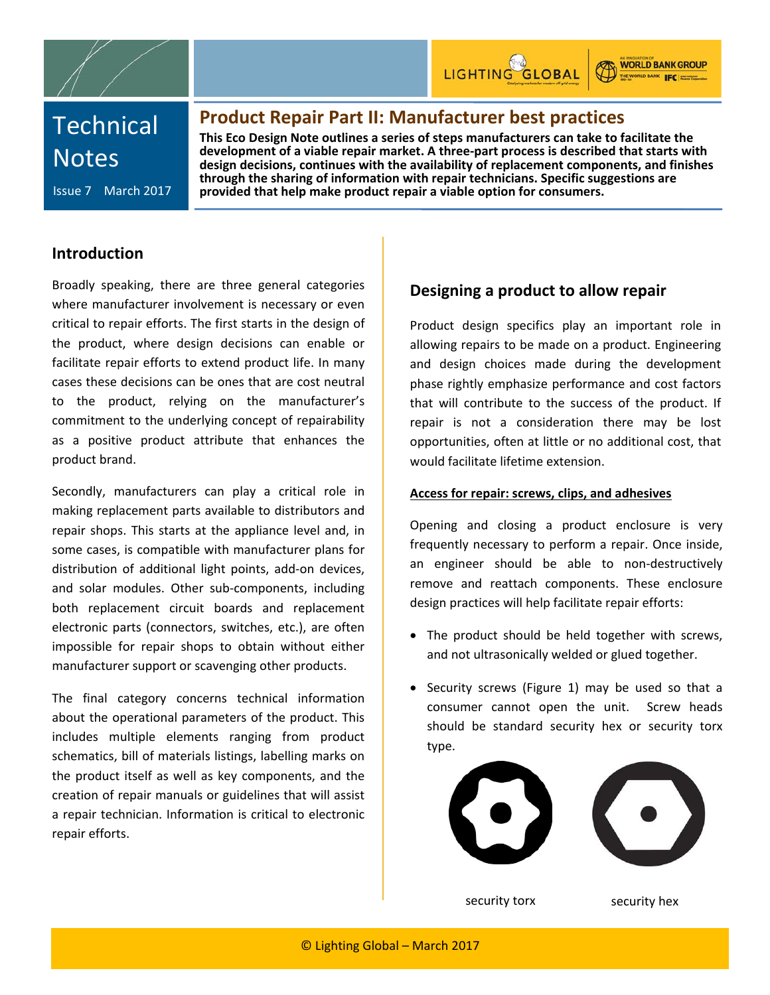



**WORLD BANK GROUP** THE WORLD BANK IFC HOME

# **Technical Notes**

Issue 7 March 2017

**Product Repair Part II: Manufacturer best practices**

**This Eco Design Note outlines a series of steps manufacturers can take to facilitate the development of a viable repair market. A three-part process is described that starts with design decisions, continues with the availability of replacement components, and finishes through the sharing of information with repair technicians. Specific suggestions are provided that help make product repair a viable option for consumers.** 

## **Introduction**

Broadly speaking, there are three general categories where manufacturer involvement is necessary or even critical to repair efforts. The first starts in the design of the product, where design decisions can enable or facilitate repair efforts to extend product life. In many cases these decisions can be ones that are cost neutral to the product, relying on the manufacturer's commitment to the underlying concept of repairability as a positive product attribute that enhances the product brand.

Secondly, manufacturers can play a critical role in making replacement parts available to distributors and repair shops. This starts at the appliance level and, in some cases, is compatible with manufacturer plans for distribution of additional light points, add-on devices, and solar modules. Other sub-components, including both replacement circuit boards and replacement electronic parts (connectors, switches, etc.), are often impossible for repair shops to obtain without either manufacturer support or scavenging other products.

The final category concerns technical information about the operational parameters of the product. This includes multiple elements ranging from product schematics, bill of materials listings, labelling marks on the product itself as well as key components, and the creation of repair manuals or guidelines that will assist a repair technician. Information is critical to electronic repair efforts.

## **Designing a product to allow repair**

Product design specifics play an important role in allowing repairs to be made on a product. Engineering and design choices made during the development phase rightly emphasize performance and cost factors that will contribute to the success of the product. If repair is not a consideration there may be lost opportunities, often at little or no additional cost, that would facilitate lifetime extension.

### **Access for repair: screws, clips, and adhesives**

Opening and closing a product enclosure is very frequently necessary to perform a repair. Once inside, an engineer should be able to non-destructively remove and reattach components. These enclosure design practices will help facilitate repair efforts:

- The product should be held together with screws, and not ultrasonically welded or glued together.
- Security screws (Figure 1) may be used so that a consumer cannot open the unit. Screw heads should be standard security hex or security torx type.



security torx security hex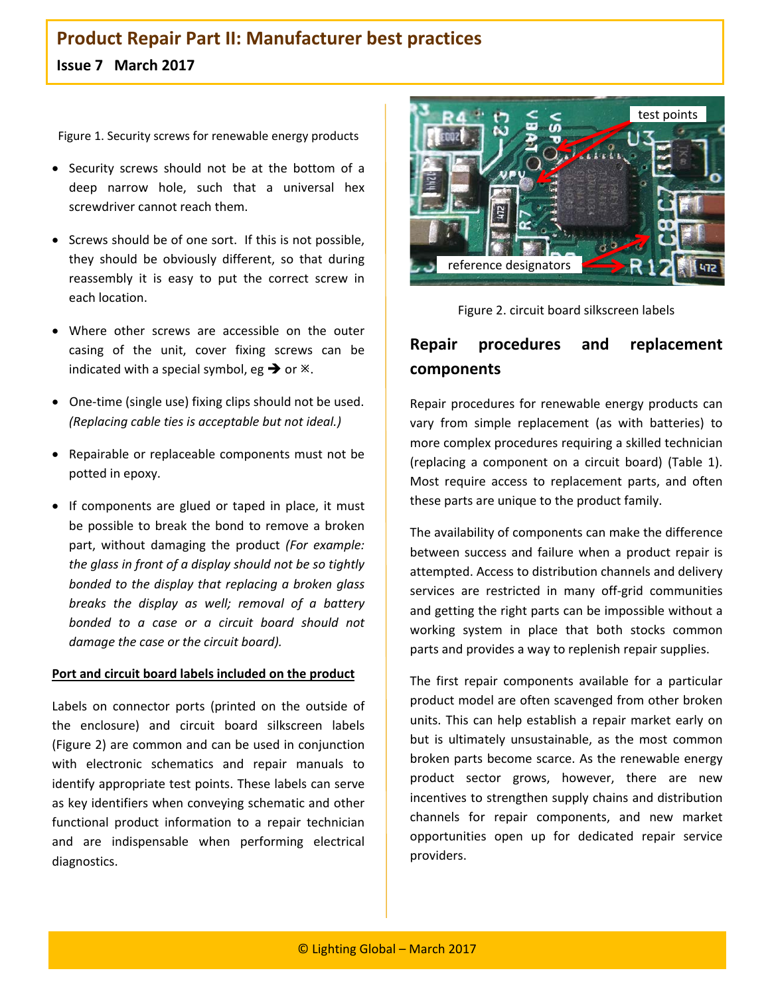# **Product Repair Part II: Manufacturer best practices Issue 7 March 2017**

Figure 1. Security screws for renewable energy products

- Security screws should not be at the bottom of a deep narrow hole, such that a universal hex screwdriver cannot reach them.
- Screws should be of one sort. If this is not possible, they should be obviously different, so that during reassembly it is easy to put the correct screw in each location.
- Where other screws are accessible on the outer casing of the unit, cover fixing screws can be indicated with a special symbol, eg  $\rightarrow$  or  $\cdot$ .
- One-time (single use) fixing clips should not be used. *(Replacing cable ties is acceptable but not ideal.)*
- Repairable or replaceable components must not be potted in epoxy.
- If components are glued or taped in place, it must be possible to break the bond to remove a broken part, without damaging the product *(For example: the glass in front of a display should not be so tightly bonded to the display that replacing a broken glass breaks the display as well; removal of a battery bonded to a case or a circuit board should not damage the case or the circuit board).*

#### **Port and circuit board labels included on the product**

Labels on connector ports (printed on the outside of the enclosure) and circuit board silkscreen labels (Figure 2) are common and can be used in conjunction with electronic schematics and repair manuals to identify appropriate test points. These labels can serve as key identifiers when conveying schematic and other functional product information to a repair technician and are indispensable when performing electrical diagnostics.



Figure 2. circuit board silkscreen labels

# **Repair procedures and replacement components**

Repair procedures for renewable energy products can vary from simple replacement (as with batteries) to more complex procedures requiring a skilled technician (replacing a component on a circuit board) (Table 1). Most require access to replacement parts, and often these parts are unique to the product family.

The availability of components can make the difference between success and failure when a product repair is attempted. Access to distribution channels and delivery services are restricted in many off-grid communities and getting the right parts can be impossible without a working system in place that both stocks common parts and provides a way to replenish repair supplies.

The first repair components available for a particular product model are often scavenged from other broken units. This can help establish a repair market early on but is ultimately unsustainable, as the most common broken parts become scarce. As the renewable energy product sector grows, however, there are new incentives to strengthen supply chains and distribution channels for repair components, and new market opportunities open up for dedicated repair service providers.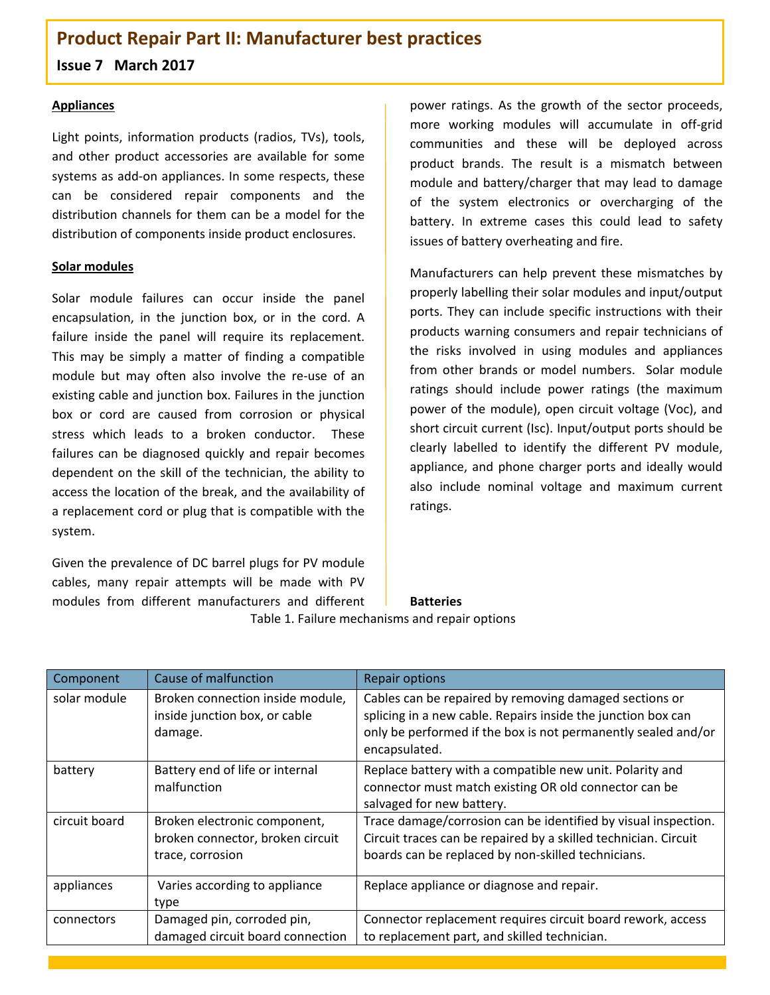**Issue 7 March 2017**

#### **Appliances**

Light points, information products (radios, TVs), tools, and other product accessories are available for some systems as add-on appliances. In some respects, these can be considered repair components and the distribution channels for them can be a model for the distribution of components inside product enclosures.

### **Solar modules**

Solar module failures can occur inside the panel encapsulation, in the junction box, or in the cord. A failure inside the panel will require its replacement. This may be simply a matter of finding a compatible module but may often also involve the re-use of an existing cable and junction box. Failures in the junction box or cord are caused from corrosion or physical stress which leads to a broken conductor. These failures can be diagnosed quickly and repair becomes dependent on the skill of the technician, the ability to access the location of the break, and the availability of a replacement cord or plug that is compatible with the system.

Given the prevalence of DC barrel plugs for PV module cables, many repair attempts will be made with PV modules from different manufacturers and different

power ratings. As the growth of the sector proceeds, more working modules will accumulate in off-grid communities and these will be deployed across product brands. The result is a mismatch between module and battery/charger that may lead to damage of the system electronics or overcharging of the battery. In extreme cases this could lead to safety issues of battery overheating and fire.

Manufacturers can help prevent these mismatches by properly labelling their solar modules and input/output ports. They can include specific instructions with their products warning consumers and repair technicians of the risks involved in using modules and appliances from other brands or model numbers. Solar module ratings should include power ratings (the maximum power of the module), open circuit voltage (Voc), and short circuit current (Isc). Input/output ports should be clearly labelled to identify the different PV module, appliance, and phone charger ports and ideally would also include nominal voltage and maximum current ratings.

# **Batteries**

Table 1. Failure mechanisms and repair options

| Component     | Cause of malfunction                                                                 | <b>Repair options</b>                                                                                                                                                                                    |  |
|---------------|--------------------------------------------------------------------------------------|----------------------------------------------------------------------------------------------------------------------------------------------------------------------------------------------------------|--|
| solar module  | Broken connection inside module,<br>inside junction box, or cable<br>damage.         | Cables can be repaired by removing damaged sections or<br>splicing in a new cable. Repairs inside the junction box can<br>only be performed if the box is not permanently sealed and/or<br>encapsulated. |  |
| battery       | Battery end of life or internal<br>malfunction                                       | Replace battery with a compatible new unit. Polarity and<br>connector must match existing OR old connector can be<br>salvaged for new battery.                                                           |  |
| circuit board | Broken electronic component,<br>broken connector, broken circuit<br>trace, corrosion | Trace damage/corrosion can be identified by visual inspection.<br>Circuit traces can be repaired by a skilled technician. Circuit<br>boards can be replaced by non-skilled technicians.                  |  |
| appliances    | Varies according to appliance<br>type                                                | Replace appliance or diagnose and repair.                                                                                                                                                                |  |
| connectors    | Damaged pin, corroded pin,<br>damaged circuit board connection                       | Connector replacement requires circuit board rework, access<br>to replacement part, and skilled technician.                                                                                              |  |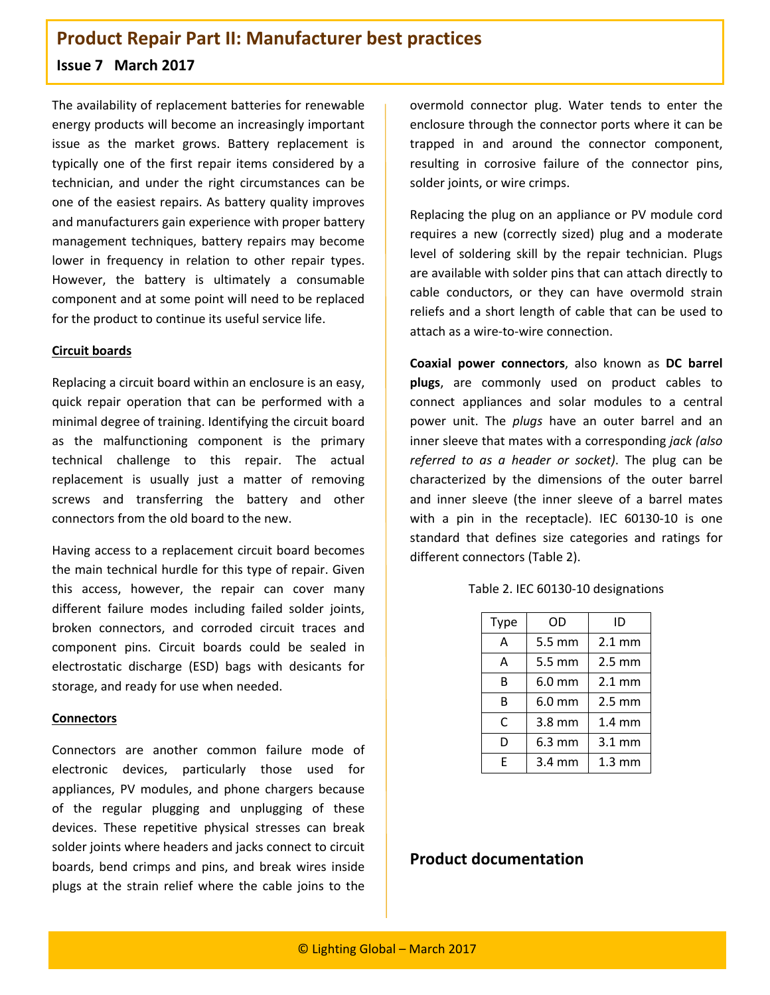### **Issue 7 March 2017**

The availability of replacement batteries for renewable energy products will become an increasingly important issue as the market grows. Battery replacement is typically one of the first repair items considered by a technician, and under the right circumstances can be one of the easiest repairs. As battery quality improves and manufacturers gain experience with proper battery management techniques, battery repairs may become lower in frequency in relation to other repair types. However, the battery is ultimately a consumable component and at some point will need to be replaced for the product to continue its useful service life.

#### **Circuit boards**

Replacing a circuit board within an enclosure is an easy, quick repair operation that can be performed with a minimal degree of training. Identifying the circuit board as the malfunctioning component is the primary technical challenge to this repair. The actual replacement is usually just a matter of removing screws and transferring the battery and other connectors from the old board to the new.

Having access to a replacement circuit board becomes the main technical hurdle for this type of repair. Given this access, however, the repair can cover many different failure modes including failed solder joints, broken connectors, and corroded circuit traces and component pins. Circuit boards could be sealed in electrostatic discharge (ESD) bags with desicants for storage, and ready for use when needed.

#### **Connectors**

Connectors are another common failure mode of electronic devices, particularly those used for appliances, PV modules, and phone chargers because of the regular plugging and unplugging of these devices. These repetitive physical stresses can break solder joints where headers and jacks connect to circuit boards, bend crimps and pins, and break wires inside plugs at the strain relief where the cable joins to the

overmold connector plug. Water tends to enter the enclosure through the connector ports where it can be trapped in and around the connector component, resulting in corrosive failure of the connector pins, solder joints, or wire crimps.

Replacing the plug on an appliance or PV module cord requires a new (correctly sized) plug and a moderate level of soldering skill by the repair technician. Plugs are available with solder pins that can attach directly to cable conductors, or they can have overmold strain reliefs and a short length of cable that can be used to attach as a wire-to-wire connection.

**Coaxial power connectors**, also known as **DC barrel plugs**, are commonly used on product cables to connect appliances and solar modules to a central power unit. The *plugs* have an outer barrel and an inner sleeve that mates with a corresponding *jack (also referred to as a header or socket)*. The plug can be characterized by the dimensions of the outer barrel and inner sleeve (the inner sleeve of a barrel mates with a pin in the receptacle). IEC 60130-10 is one standard that defines size categories and ratings for different connectors (Table 2).

| Type | OD                 | ID                |
|------|--------------------|-------------------|
| Α    | 5.5 mm             | $2.1 \text{ mm}$  |
| Α    | 5.5 mm             | $2.5 \text{ mm}$  |
| B    | $6.0$ mm           | $2.1 \text{ mm}$  |
| R    | $6.0$ mm           | $2.5 \text{ mm}$  |
| C    | 3.8 mm             | $1.4 \text{ mm}$  |
| D    | $6.3 \, \text{mm}$ | $3.1 \text{ mm}$  |
| F    | $3.4 \text{ mm}$   | 1.3 <sub>mm</sub> |

Table 2. IEC 60130-10 designations

### **Product documentation**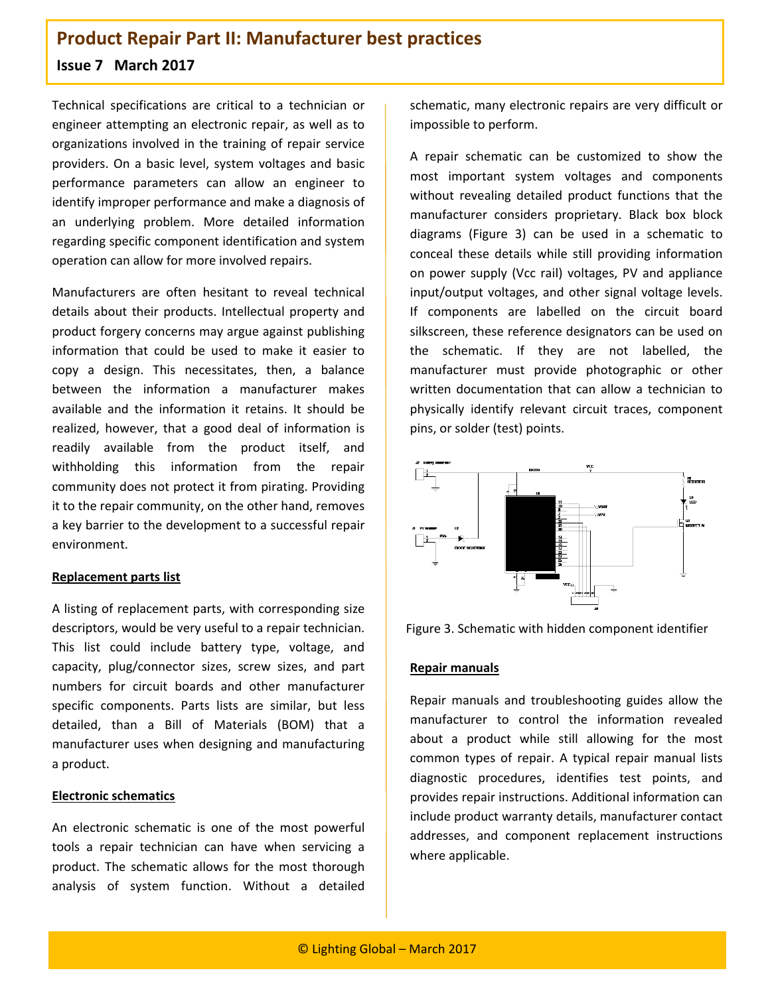### **Issue 7 March 2017**

Technical specifications are critical to a technician or engineer attempting an electronic repair, as well as to organizations involved in the training of repair service providers. On a basic level, system voltages and basic performance parameters can allow an engineer to identify improper performance and make a diagnosis of an underlying problem. More detailed information regarding specific component identification and system operation can allow for more involved repairs.

Manufacturers are often hesitant to reveal technical details about their products. Intellectual property and product forgery concerns may argue against publishing information that could be used to make it easier to copy a design. This necessitates, then, a balance between the information a manufacturer makes available and the information it retains. It should be realized, however, that a good deal of information is readily available from the product itself, and withholding this information from the repair community does not protect it from pirating. Providing it to the repair community, on the other hand, removes a key barrier to the development to a successful repair environment.

#### **Replacement parts list**

A listing of replacement parts, with corresponding size descriptors, would be very useful to a repair technician. This list could include battery type, voltage, and capacity, plug/connector sizes, screw sizes, and part numbers for circuit boards and other manufacturer specific components. Parts lists are similar, but less detailed, than a Bill of Materials (BOM) that a manufacturer uses when designing and manufacturing a product.

#### **Electronic schematics**

An electronic schematic is one of the most powerful tools a repair technician can have when servicing a product. The schematic allows for the most thorough analysis of system function. Without a detailed

schematic, many electronic repairs are very difficult or impossible to perform.

A repair schematic can be customized to show the most important system voltages and components without revealing detailed product functions that the manufacturer considers proprietary. Black box block diagrams (Figure 3) can be used in a schematic to conceal these details while still providing information on power supply (Vcc rail) voltages, PV and appliance input/output voltages, and other signal voltage levels. If components are labelled on the circuit board silkscreen, these reference designators can be used on the schematic. If they are not labelled, the manufacturer must provide photographic or other written documentation that can allow a technician to physically identify relevant circuit traces, component pins, or solder (test) points.





#### **Repair manuals**

Repair manuals and troubleshooting guides allow the manufacturer to control the information revealed about a product while still allowing for the most common types of repair. A typical repair manual lists diagnostic procedures, identifies test points, and provides repair instructions. Additional information can include product warranty details, manufacturer contact addresses, and component replacement instructions where applicable.